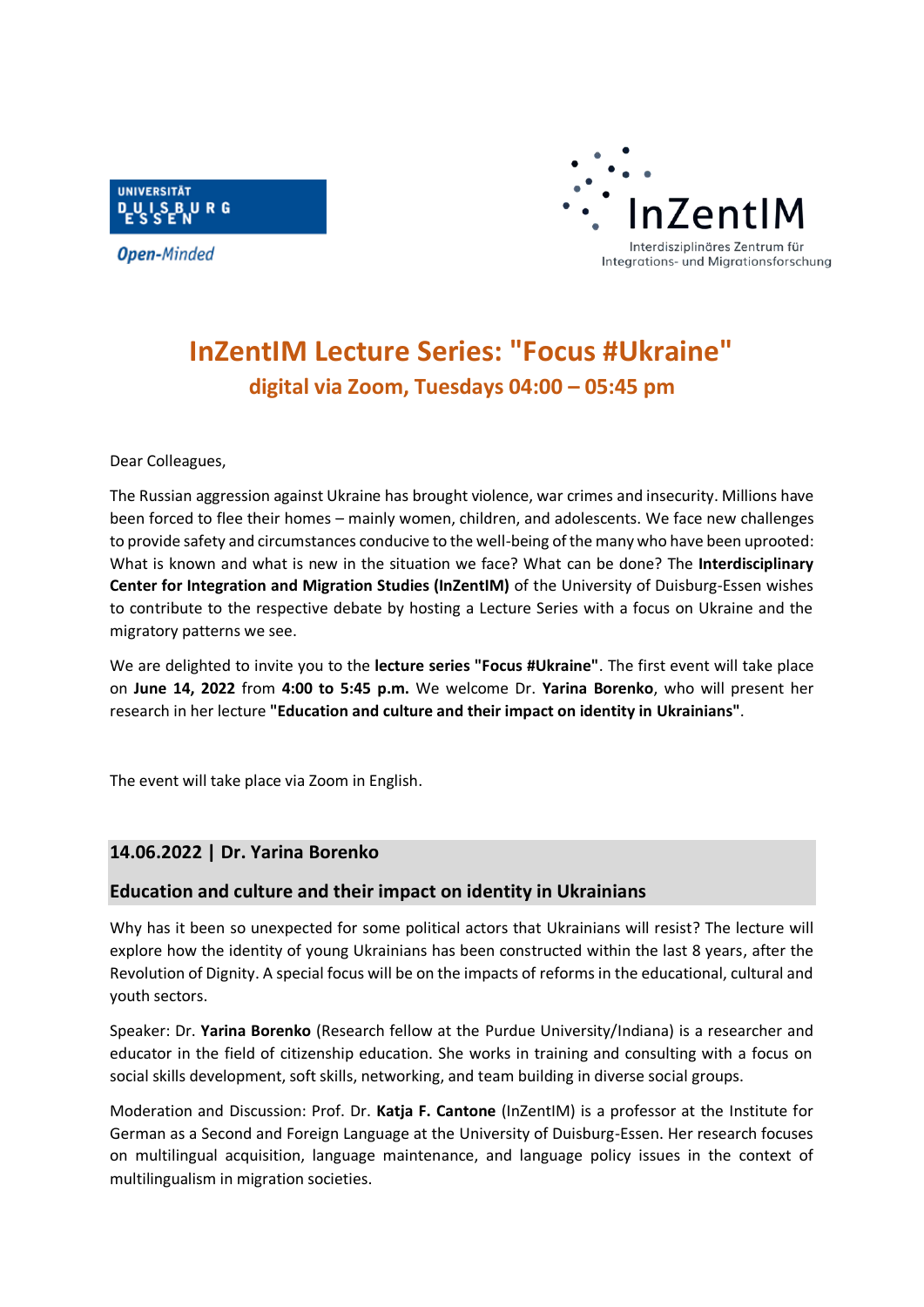

**Open-Minded** 



# **InZentIM Lecture Series: "Focus #Ukraine" digital via Zoom, Tuesdays 04:00 – 05:45 pm**

Dear Colleagues,

The Russian aggression against Ukraine has brought violence, war crimes and insecurity. Millions have been forced to flee their homes – mainly women, children, and adolescents. We face new challenges to provide safety and circumstances conducive to the well-being of the many who have been uprooted: What is known and what is new in the situation we face? What can be done? The **Interdisciplinary Center for Integration and Migration Studies (InZentIM)** of the University of Duisburg-Essen wishes to contribute to the respective debate by hosting a Lecture Series with a focus on Ukraine and the migratory patterns we see.

We are delighted to invite you to the **lecture series "Focus #Ukraine"**. The first event will take place on **June 14, 2022** from **4:00 to 5:45 p.m.** We welcome Dr. **Yarina Borenko**, who will present her research in her lecture **"Education and culture and their impact on identity in Ukrainians"**.

The event will take place via Zoom in English.

## **14.06.2022 | Dr. Yarina Borenko**

## **Education and culture and their impact on identity in Ukrainians**

Why has it been so unexpected for some political actors that Ukrainians will resist? The lecture will explore how the identity of young Ukrainians has been constructed within the last 8 years, after the Revolution of Dignity. A special focus will be on the impacts of reforms in the educational, cultural and youth sectors.

Speaker: Dr. **Yarina Borenko** (Research fellow at the Purdue University/Indiana) is a researcher and educator in the field of citizenship education. She works in training and consulting with a focus on social skills development, soft skills, networking, and team building in diverse social groups.

Moderation and Discussion: Prof. Dr. **Katja F. Cantone** (InZentIM) is a professor at the Institute for German as a Second and Foreign Language at the University of Duisburg-Essen. Her research focuses on multilingual acquisition, language maintenance, and language policy issues in the context of multilingualism in migration societies.